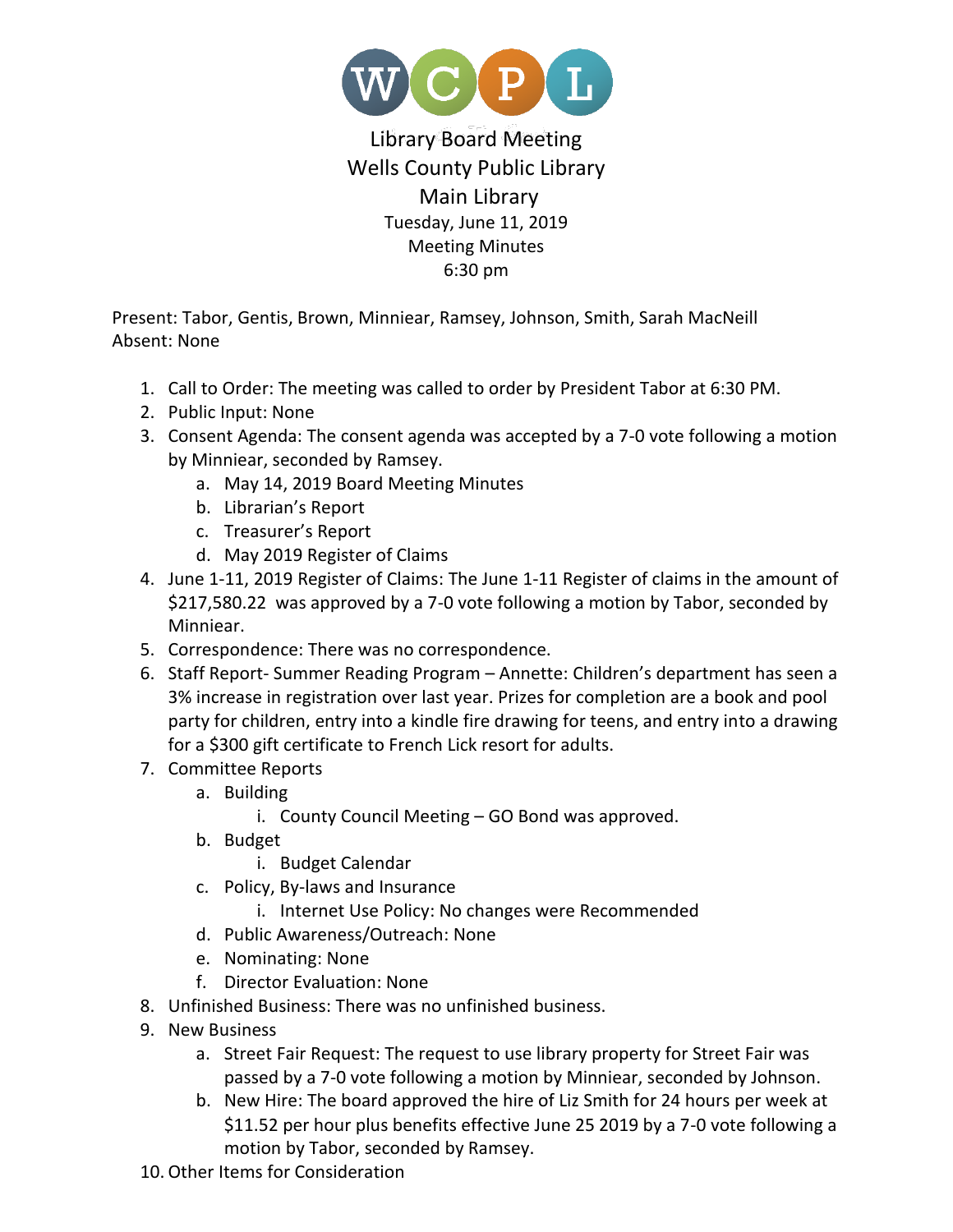

## Library Board Meeting Wells County Public Library Main Library Tuesday, June 11, 2019 Meeting Minutes 6:30 pm

Present: Tabor, Gentis, Brown, Minniear, Ramsey, Johnson, Smith, Sarah MacNeill Absent: None

- 1. Call to Order: The meeting was called to order by President Tabor at 6:30 PM.
- 2. Public Input: None
- 3. Consent Agenda: The consent agenda was accepted by a 7-0 vote following a motion by Minniear, seconded by Ramsey.
	- a. May 14, 2019 Board Meeting Minutes
	- b. Librarian's Report
	- c. Treasurer's Report
	- d. May 2019 Register of Claims
- 4. June 1-11, 2019 Register of Claims: The June 1-11 Register of claims in the amount of \$217,580.22 was approved by a 7-0 vote following a motion by Tabor, seconded by Minniear.
- 5. Correspondence: There was no correspondence.
- 6. Staff Report- Summer Reading Program Annette: Children's department has seen a 3% increase in registration over last year. Prizes for completion are a book and pool party for children, entry into a kindle fire drawing for teens, and entry into a drawing for a \$300 gift certificate to French Lick resort for adults.
- 7. Committee Reports
	- a. Building
		- i. County Council Meeting GO Bond was approved.
	- b. Budget
		- i. Budget Calendar
	- c. Policy, By-laws and Insurance
		- i. Internet Use Policy: No changes were Recommended
	- d. Public Awareness/Outreach: None
	- e. Nominating: None
	- f. Director Evaluation: None
- 8. Unfinished Business: There was no unfinished business.
- 9. New Business
	- a. Street Fair Request: The request to use library property for Street Fair was passed by a 7-0 vote following a motion by Minniear, seconded by Johnson.
	- b. New Hire: The board approved the hire of Liz Smith for 24 hours per week at \$11.52 per hour plus benefits effective June 25 2019 by a 7-0 vote following a motion by Tabor, seconded by Ramsey.
- 10. Other Items for Consideration